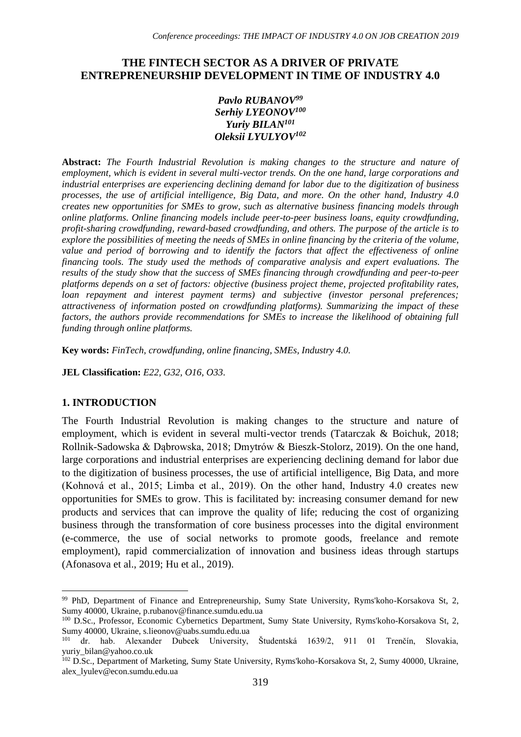# **THE FINTECH SECTOR AS A DRIVER OF PRIVATE ENTREPRENEURSHIP DEVELOPMENT IN TIME OF INDUSTRY 4.0**

#### *Pavlo RUBANOV<sup>99</sup> Serhiy LYEONOV<sup>100</sup> Yuriy BILAN<sup>101</sup> Oleksii LYULYOV<sup>102</sup>*

**Abstract:** *The Fourth Industrial Revolution is making changes to the structure and nature of employment, which is evident in several multi-vector trends. On the one hand, large corporations and industrial enterprises are experiencing declining demand for labor due to the digitization of business processes, the use of artificial intelligence, Big Data, and more. On the other hand, Industry 4.0 creates new opportunities for SMEs to grow, such as alternative business financing models through online platforms. Online financing models include peer-to-peer business loans, equity crowdfunding, profit-sharing crowdfunding, reward-based crowdfunding, and others. The purpose of the article is to explore the possibilities of meeting the needs of SMEs in online financing by the criteria of the volume,*  value and period of borrowing and to identify the factors that affect the effectiveness of online *financing tools. The study used the methods of comparative analysis and expert evaluations. The results of the study show that the success of SMEs financing through crowdfunding and peer-to-peer platforms depends on a set of factors: objective (business project theme, projected profitability rates, loan repayment and interest payment terms) and subjective (investor personal preferences; attractiveness of information posted on crowdfunding platforms). Summarizing the impact of these factors, the authors provide recommendations for SMEs to increase the likelihood of obtaining full funding through online platforms.*

**Key words:** *FinTech, crowdfunding, online financing, SMEs, Industry 4.0.*

**JEL Classification:** *E22, G32, O16, O33*.

#### **1. INTRODUCTION**

1

The Fourth Industrial Revolution is making changes to the structure and nature of employment, which is evident in several multi-vector trends (Tatarczak & Boichuk, 2018; Rollnik-Sadowska & Dąbrowska, 2018; Dmytrów & Bieszk-Stolorz, 2019). On the one hand, large corporations and industrial enterprises are experiencing declining demand for labor due to the digitization of business processes, the use of artificial intelligence, Big Data, and more (Kohnová et al., 2015; Limba et al., 2019). On the other hand, Industry 4.0 creates new opportunities for SMEs to grow. This is facilitated by: increasing consumer demand for new products and services that can improve the quality of life; reducing the cost of organizing business through the transformation of core business processes into the digital environment (e-commerce, the use of social networks to promote goods, freelance and remote employment), rapid commercialization of innovation and business ideas through startups (Afonasova et al., 2019; Hu et al., 2019).

<sup>99</sup> PhD, Department of Finance and Entrepreneurship, Sumy State University, Ryms'koho-Korsakova St, 2, Sumy 40000, Ukraine, p.rubanov@finance.sumdu.edu.ua

<sup>100</sup> D.Sc., Professor, Economic Cybernetics Department, Sumy State University, Ryms'koho-Korsakova St, 2, Sumy 40000, Ukraine, s.lieonov@uabs.sumdu.edu.ua<br><sup>101</sup> dr. hab. Alexander Dubcek University,

<sup>101</sup> dr. hab. Alexander Dubcek University, Študentská 1639/2, 911 01 Trenčín, Slovakia, yuriy\_bilan@yahoo.co.uk

<sup>102</sup> D.Sc., Department of Marketing, Sumy State University, Ryms'koho-Korsakova St, 2, Sumy 40000, Ukraine, alex\_lyulev@econ.sumdu.edu.ua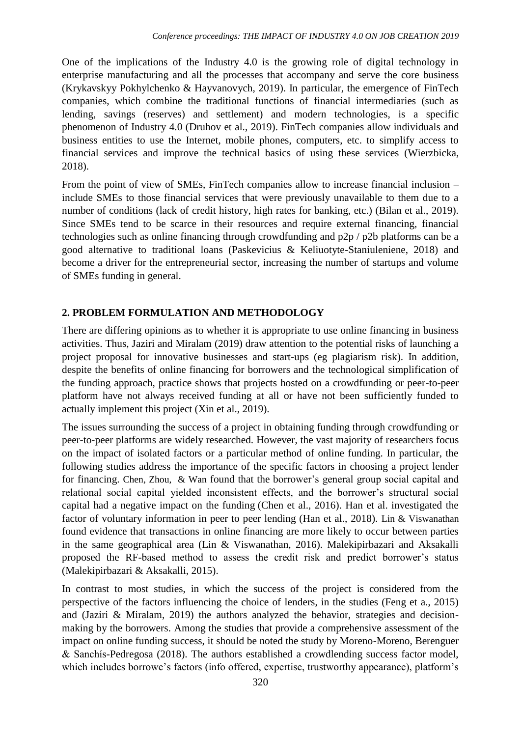One of the implications of the Industry 4.0 is the growing role of digital technology in enterprise manufacturing and all the processes that accompany and serve the core business (Krykavskyy Pokhylchenko & Hayvanovych, 2019). In particular, the emergence of FinTech companies, which combine the traditional functions of financial intermediaries (such as lending, savings (reserves) and settlement) and modern technologies, is a specific phenomenon of Industry 4.0 (Druhov et al., 2019). FinTech companies allow individuals and business entities to use the Internet, mobile phones, computers, etc. to simplify access to financial services and improve the technical basics of using these services (Wierzbicka, 2018).

From the point of view of SMEs, FinTech companies allow to increase financial inclusion – include SMEs to those financial services that were previously unavailable to them due to a number of conditions (lack of credit history, high rates for banking, etc.) (Bilan et al., 2019). Since SMEs tend to be scarce in their resources and require external financing, financial technologies such as online financing through crowdfunding and p2p / p2b platforms can be a good alternative to traditional loans (Paskevicius & Keliuotyte-Staniuleniene, 2018) and become a driver for the entrepreneurial sector, increasing the number of startups and volume of SMEs funding in general.

# **2. PROBLEM FORMULATION AND METHODOLOGY**

There are differing opinions as to whether it is appropriate to use online financing in business activities. Thus, Jaziri and Miralam (2019) draw attention to the potential risks of launching a project proposal for innovative businesses and start-ups (eg plagiarism risk). In addition, despite the benefits of online financing for borrowers and the technological simplification of the funding approach, practice shows that projects hosted on a crowdfunding or peer-to-peer platform have not always received funding at all or have not been sufficiently funded to actually implement this project (Xin et al., 2019).

The issues surrounding the success of a project in obtaining funding through crowdfunding or peer-to-peer platforms are widely researched. However, the vast majority of researchers focus on the impact of isolated factors or a particular method of online funding. In particular, the following studies address the importance of the specific factors in choosing a project lender for financing. Chen, Zhou, & Wan found that the borrower's general group social capital and relational social capital yielded inconsistent effects, and the borrower's structural social capital had a negative impact on the funding (Chen et al., 2016). Han et al. investigated the factor of voluntary information in peer to peer lending (Han et al., 2018). Lin & Viswanathan found evidence that transactions in online financing are more likely to occur between parties in the same geographical area (Lin & Viswanathan, 2016). Malekipirbazari and Aksakalli proposed the RF-based method to assess the credit risk and predict borrower's status (Malekipirbazari & Aksakalli, 2015).

In contrast to most studies, in which the success of the project is considered from the perspective of the factors influencing the choice of lenders, in the studies (Feng et a., 2015) and (Jaziri & Miralam, 2019) the authors analyzed the behavior, strategies and decisionmaking by the borrowers. Among the studies that provide a comprehensive assessment of the impact on online funding success, it should be noted the study by Moreno-Moreno, Berenguer & Sanchís-Pedregosa (2018). The authors established a crowdlending success factor model, which includes borrowe's factors (info offered, expertise, trustworthy appearance), platform's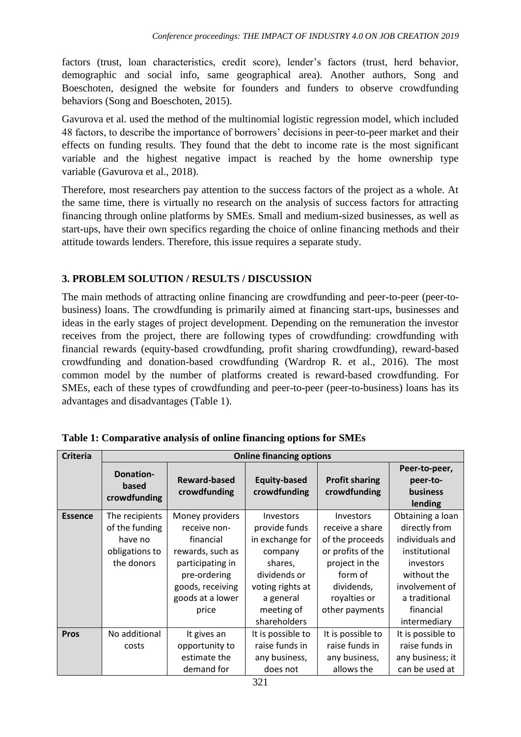factors (trust, loan characteristics, credit score), lender's factors (trust, herd behavior, demographic and social info, same geographical area). Another authors, Song and Boeschoten, designed the website for founders and funders to observe crowdfunding behaviors (Song and Boeschoten, 2015).

Gavurova et al. used the method of the multinomial logistic regression model, which included 48 factors, to describe the importance of borrowers' decisions in peer-to-peer market and their effects on funding results. They found that the debt to income rate is the most significant variable and the highest negative impact is reached by the home ownership type variable (Gavurova et al., 2018).

Therefore, most researchers pay attention to the success factors of the project as a whole. At the same time, there is virtually no research on the analysis of success factors for attracting financing through online platforms by SMEs. Small and medium-sized businesses, as well as start-ups, have their own specifics regarding the choice of online financing methods and their attitude towards lenders. Therefore, this issue requires a separate study.

# **3. PROBLEM SOLUTION / RESULTS / DISCUSSION**

The main methods of attracting online financing are crowdfunding and peer-to-peer (peer-tobusiness) loans. The crowdfunding is primarily aimed at financing start-ups, businesses and ideas in the early stages of project development. Depending on the remuneration the investor receives from the project, there are following types of crowdfunding: crowdfunding with financial rewards (equity-based crowdfunding, profit sharing crowdfunding), reward-based crowdfunding and donation-based crowdfunding (Wardrop R. et al., 2016). The most common model by the number of platforms created is reward-based crowdfunding. For SMEs, each of these types of crowdfunding and peer-to-peer (peer-to-business) loans has its advantages and disadvantages (Table 1).

| <b>Criteria</b> | <b>Online financing options</b>                                             |                                                                                                                                                       |                                                                                                                                                           |                                                                                                                                                          |                                                                                                                                                                   |  |  |
|-----------------|-----------------------------------------------------------------------------|-------------------------------------------------------------------------------------------------------------------------------------------------------|-----------------------------------------------------------------------------------------------------------------------------------------------------------|----------------------------------------------------------------------------------------------------------------------------------------------------------|-------------------------------------------------------------------------------------------------------------------------------------------------------------------|--|--|
|                 | <b>Donation-</b><br>based<br>crowdfunding                                   | <b>Reward-based</b><br>crowdfunding                                                                                                                   | <b>Equity-based</b><br>crowdfunding                                                                                                                       | <b>Profit sharing</b><br>crowdfunding                                                                                                                    | Peer-to-peer,<br>peer-to-<br>business<br>lending                                                                                                                  |  |  |
| <b>Essence</b>  | The recipients<br>of the funding<br>have no<br>obligations to<br>the donors | Money providers<br>receive non-<br>financial<br>rewards, such as<br>participating in<br>pre-ordering<br>goods, receiving<br>goods at a lower<br>price | <b>Investors</b><br>provide funds<br>in exchange for<br>company<br>shares,<br>dividends or<br>voting rights at<br>a general<br>meeting of<br>shareholders | <b>Investors</b><br>receive a share<br>of the proceeds<br>or profits of the<br>project in the<br>form of<br>dividends,<br>royalties or<br>other payments | Obtaining a loan<br>directly from<br>individuals and<br>institutional<br>investors<br>without the<br>involvement of<br>a traditional<br>financial<br>intermediary |  |  |
| <b>Pros</b>     | No additional<br>costs                                                      | It gives an<br>opportunity to<br>estimate the<br>demand for                                                                                           | It is possible to<br>raise funds in<br>any business,<br>does not                                                                                          | It is possible to<br>raise funds in<br>any business,<br>allows the                                                                                       | It is possible to<br>raise funds in<br>any business; it<br>can be used at                                                                                         |  |  |

|  |  | Table 1: Comparative analysis of online financing options for SMEs |  |  |  |
|--|--|--------------------------------------------------------------------|--|--|--|
|--|--|--------------------------------------------------------------------|--|--|--|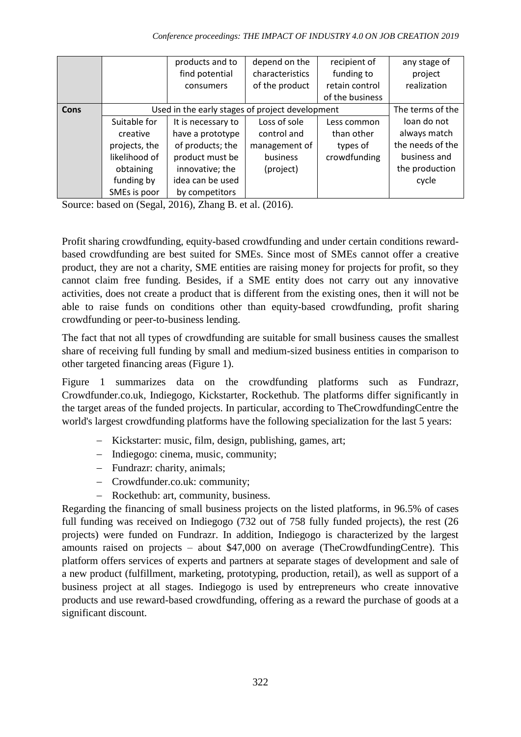|      |                                                 | products and to    | depend on the   | recipient of    | any stage of     |
|------|-------------------------------------------------|--------------------|-----------------|-----------------|------------------|
|      |                                                 | find potential     | characteristics | funding to      | project          |
|      |                                                 | consumers          | of the product  | retain control  | realization      |
|      |                                                 |                    |                 | of the business |                  |
| Cons | Used in the early stages of project development | The terms of the   |                 |                 |                  |
|      | Suitable for                                    | It is necessary to | Loss of sole    | Less common     | loan do not      |
|      | creative                                        | have a prototype   | control and     | than other      | always match     |
|      | projects, the                                   | of products; the   | management of   | types of        | the needs of the |
|      | likelihood of                                   | product must be    | business        | crowdfunding    | business and     |
|      | obtaining                                       | innovative; the    | (project)       |                 | the production   |
|      | funding by                                      | idea can be used   |                 |                 | cycle            |
|      | SMEs is poor                                    | by competitors     |                 |                 |                  |

Source: based on (Segal, 2016), Zhang B. et al. (2016).

Profit sharing crowdfunding, equity-based crowdfunding and under certain conditions rewardbased crowdfunding are best suited for SMEs. Since most of SMEs cannot offer a creative product, they are not a charity, SME entities are raising money for projects for profit, so they cannot claim free funding. Besides, if a SME entity does not carry out any innovative activities, does not create a product that is different from the existing ones, then it will not be able to raise funds on conditions other than equity-based crowdfunding, profit sharing crowdfunding or peer-to-business lending.

The fact that not all types of crowdfunding are suitable for small business causes the smallest share of receiving full funding by small and medium-sized business entities in comparison to other targeted financing areas (Figure 1).

Figure 1 summarizes data on the crowdfunding platforms such as Fundrazr, Crowdfunder.co.uk, Indiegogo, Kickstarter, Rockethub. The platforms differ significantly in the target areas of the funded projects. In particular, according to TheCrowdfundingCentre the world's largest crowdfunding platforms have the following specialization for the last 5 years:

- Kickstarter: music, film, design, publishing, games, art;
- Indiegogo: cinema, music, community;
- Fundrazr: charity, animals;
- Crowdfunder.co.uk: community;
- Rockethub: art. community, business.

Regarding the financing of small business projects on the listed platforms, in 96.5% of cases full funding was received on Indiegogo (732 out of 758 fully funded projects), the rest (26 projects) were funded on Fundrazr. In addition, Indiegogo is characterized by the largest amounts raised on projects – about \$47,000 on average (TheCrowdfundingCentre). This platform offers services of experts and partners at separate stages of development and sale of a new product (fulfillment, marketing, prototyping, production, retail), as well as support of a business project at all stages. Indiegogo is used by entrepreneurs who create innovative products and use reward-based crowdfunding, offering as a reward the purchase of goods at a significant discount.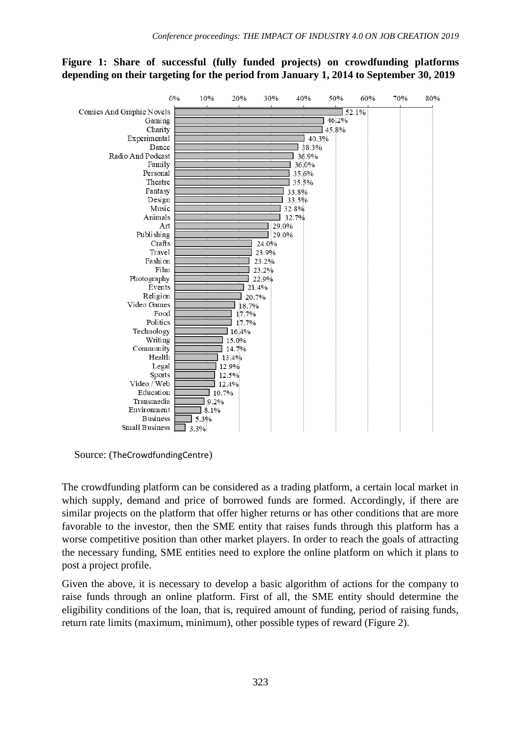# **Figure 1: Share of successful (fully funded projects) on crowdfunding platforms depending on their targeting for the period from January 1, 2014 to September 30, 2019**



Source: (TheCrowdfundingCentre)

The crowdfunding platform can be considered as a trading platform, a certain local market in which supply, demand and price of borrowed funds are formed. Accordingly, if there are similar projects on the platform that offer higher returns or has other conditions that are more favorable to the investor, then the SME entity that raises funds through this platform has a worse competitive position than other market players. In order to reach the goals of attracting the necessary funding, SME entities need to explore the online platform on which it plans to post a project profile.

Given the above, it is necessary to develop a basic algorithm of actions for the company to raise funds through an online platform. First of all, the SME entity should determine the eligibility conditions of the loan, that is, required amount of funding, period of raising funds, return rate limits (maximum, minimum), other possible types of reward (Figure 2).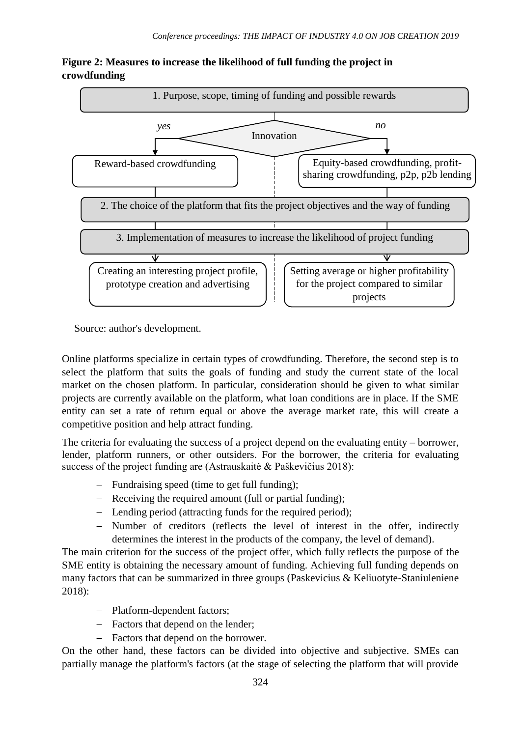

**Figure 2: Measures to increase the likelihood of full funding the project in crowdfunding**

Source: author's development.

Online platforms specialize in certain types of crowdfunding. Therefore, the second step is to select the platform that suits the goals of funding and study the current state of the local market on the chosen platform. In particular, consideration should be given to what similar projects are currently available on the platform, what loan conditions are in place. If the SME entity can set a rate of return equal or above the average market rate, this will create a competitive position and help attract funding.

The criteria for evaluating the success of a project depend on the evaluating entity – borrower, lender, platform runners, or other outsiders. For the borrower, the criteria for evaluating success of the project funding are (Astrauskaitė & Paškevičius 2018):

- Fundraising speed (time to get full funding);
- Receiving the required amount (full or partial funding);
- Lending period (attracting funds for the required period);
- Number of creditors (reflects the level of interest in the offer, indirectly determines the interest in the products of the company, the level of demand).

The main criterion for the success of the project offer, which fully reflects the purpose of the SME entity is obtaining the necessary amount of funding. Achieving full funding depends on many factors that can be summarized in three groups (Paskevicius & Keliuotyte-Staniuleniene 2018):

- Platform-dependent factors;
- Factors that depend on the lender;
- Factors that depend on the borrower.

On the other hand, these factors can be divided into objective and subjective. SMEs can partially manage the platform's factors (at the stage of selecting the platform that will provide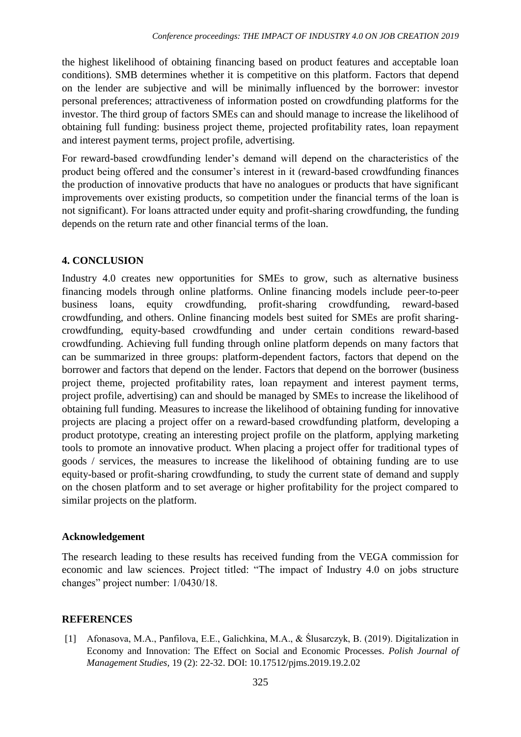the highest likelihood of obtaining financing based on product features and acceptable loan conditions). SMB determines whether it is competitive on this platform. Factors that depend on the lender are subjective and will be minimally influenced by the borrower: investor personal preferences; attractiveness of information posted on crowdfunding platforms for the investor. The third group of factors SMEs can and should manage to increase the likelihood of obtaining full funding: business project theme, projected profitability rates, loan repayment and interest payment terms, project profile, advertising.

For reward-based crowdfunding lender's demand will depend on the characteristics of the product being offered and the consumer's interest in it (reward-based crowdfunding finances the production of innovative products that have no analogues or products that have significant improvements over existing products, so competition under the financial terms of the loan is not significant). For loans attracted under equity and profit-sharing crowdfunding, the funding depends on the return rate and other financial terms of the loan.

# **4. CONCLUSION**

Industry 4.0 creates new opportunities for SMEs to grow, such as alternative business financing models through online platforms. Online financing models include peer-to-peer business loans, equity crowdfunding, profit-sharing crowdfunding, reward-based crowdfunding, and others. Online financing models best suited for SMEs are profit sharingcrowdfunding, equity-based crowdfunding and under certain conditions reward-based crowdfunding. Achieving full funding through online platform depends on many factors that can be summarized in three groups: platform-dependent factors, factors that depend on the borrower and factors that depend on the lender. Factors that depend on the borrower (business project theme, projected profitability rates, loan repayment and interest payment terms, project profile, advertising) can and should be managed by SMEs to increase the likelihood of obtaining full funding. Measures to increase the likelihood of obtaining funding for innovative projects are placing a project offer on a reward-based crowdfunding platform, developing a product prototype, creating an interesting project profile on the platform, applying marketing tools to promote an innovative product. When placing a project offer for traditional types of goods / services, the measures to increase the likelihood of obtaining funding are to use equity-based or profit-sharing crowdfunding, to study the current state of demand and supply on the chosen platform and to set average or higher profitability for the project compared to similar projects on the platform.

#### **Acknowledgement**

The research leading to these results has received funding from the VEGA commission for economic and law sciences. Project titled: "The impact of Industry 4.0 on jobs structure changes" project number: 1/0430/18.

#### **REFERENCES**

[1] Afonasova, M.A., Panfilova, E.E., Galichkina, M.A., & Ślusarczyk, B. (2019). Digitalization in Economy and Innovation: The Effect on Social and Economic Processes. *Polish Journal of Management Studies,* 19 (2): 22-32. DOI: 10.17512/pjms.2019.19.2.02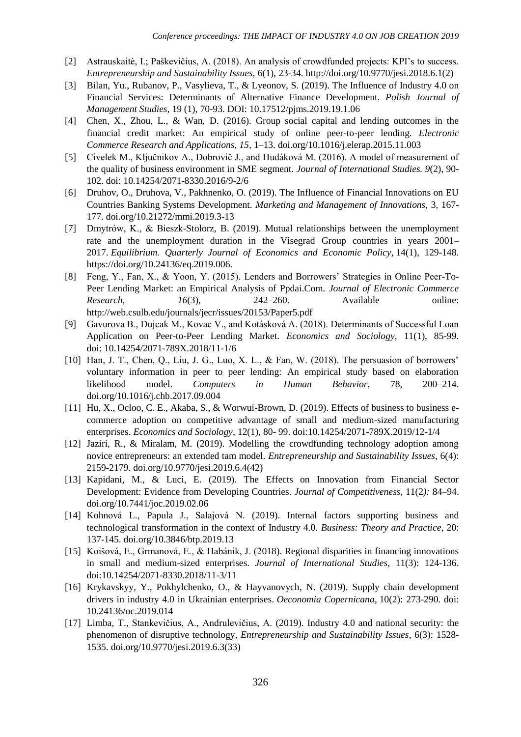- [2] Astrauskaitė, I.; Paškevičius, A. (2018). An analysis of crowdfunded projects: KPI's to success. *Entrepreneurship and Sustainability Issues,* 6(1), 23-34. [http://doi.org/10.9770/jesi.2018.6.1\(2\)](http://doi.org/10.9770/jesi.2018.6.1(2))
- [3] Bilan, Yu., Rubanov, P., Vasylieva, T., & Lyeonov, S. (2019). The Influence of Industry 4.0 on Financial Services: Determinants of Alternative Finance Development*. Polish Journal of Management Studies,* 19 (1), 70-93. DOI: 10.17512/pjms.2019.19.1.06
- [4] Chen, X., Zhou, L., & Wan, D. (2016). Group social capital and lending outcomes in the financial credit market: An empirical study of online peer-to-peer lending. *Electronic Commerce Research and Applications, 15,* 1–13. doi.org/10.1016/j.elerap.2015.11.003
- [5] Civelek M., Ključnikov A., Dobrovič J., and Hudáková M. (2016). A model of measurement of the quality of business environment in SME segment. *Journal of International Studies. 9*(2), 90- 102. doi: 10.14254/2071-8330.2016/9-2/6
- [6] Druhov, O., Druhova, V., Pakhnenko, O. (2019). The Influence of Financial Innovations on EU Countries Banking Systems Development. *Marketing and Management of Innovations,* 3*,* 167- 177. doi.org/10.21272/mmi.2019.3-13
- [7] Dmytrów, K., & Bieszk-Stolorz, B. (2019). Mutual relationships between the unemployment rate and the unemployment duration in the Visegrad Group countries in years 2001– 2017. *Equilibrium. Quarterly Journal of Economics and Economic Policy*, 14(1), 129-148. https://doi.org/10.24136/eq.2019.006.
- [8] Feng, Y., Fan, X., & Yoon, Y. (2015). Lenders and Borrowers' Strategies in Online Peer-To-Peer Lending Market: an Empirical Analysis of Ppdai.Com. *Journal of Electronic Commerce Research*, *16*(3), 242–260. Available online: http://web.csulb.edu/journals/jecr/issues/20153/Paper5.pdf
- [9] Gavurova B., Dujcak M., Kovac V., and Kotásková A. (2018). Determinants of Successful Loan Application on Peer-to-Peer Lending Market. *Economics and Sociology,* 11(1), 85-99. doi: 10.14254/2071-789X.2018/11-1/6
- [10] Han, J. T., Chen, Q., Liu, J. G., Luo, X. L., & Fan, W. (2018). The persuasion of borrowers' voluntary information in peer to peer lending: An empirical study based on elaboration likelihood model. *Computers in Human Behavior,* 78, 200–214. doi.org/10.1016/j.chb.2017.09.004
- [11] Hu, X., Ocloo, C. E., Akaba, S., & Worwui-Brown, D. (2019). Effects of business to business ecommerce adoption on competitive advantage of small and medium-sized manufacturing enterprises. *Economics and Sociology*, 12(1), 80- 99. doi:10.14254/2071-789X.2019/12-1/4
- [12] Jaziri, R., & Miralam, M. (2019). Modelling the crowdfunding technology adoption among novice entrepreneurs: an extended tam model. *Entrepreneurship and Sustainability Issues,* 6(4): 2159-2179. doi.org/10.9770/jesi.2019.6.4(42)
- [13] Kapidani, M., & Luci, E. (2019). The Effects on Innovation from Financial Sector Development: Evidence from Developing Countries. *Journal of Competitiveness,* 11(2*):* 84–94. doi.org/10.7441/joc.2019.02.06
- [14] Kohnová L., Papula J., Salajová N. (2019). Internal factors supporting business and technological transformation in the context of Industry 4.0. *Business: Theory and Practice,* 20: 137-145. doi.org/10.3846/btp.2019.13
- [15] Koišová, E., Grmanová, E., & Habánik, J. (2018). Regional disparities in financing innovations in small and medium-sized enterprises. *Journal of International Studies,* 11(3): 124-136. doi:10.14254/2071-8330.2018/11-3/11
- [16] Krykavskyy, Y., Pokhylchenko, O., & Hayvanovych, N. (2019). Supply chain development drivers in industry 4.0 in Ukrainian enterprises. *Oeconomia Copernicana*, 10(2): 273-290. doi: 10.24136/oc.2019.014
- [17] Limba, T., Stankevičius, A., Andrulevičius, A. (2019). Industry 4.0 and national security: the phenomenon of disruptive technology, *Entrepreneurship and Sustainability Issues,* 6(3): 1528- 1535. doi.org/10.9770/jesi.2019.6.3(33)